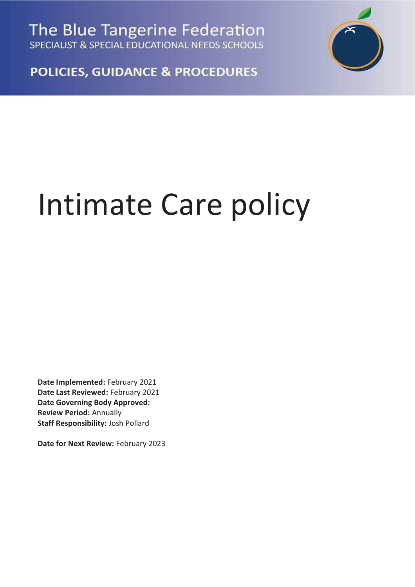The Blue Tangerine Federation SPECIALIST & SPECIAL EDUCATIONAL NEEDS SCHOOLS



**POLICIES, GUIDANCE & PROCEDURES** 

## Intimate Care policy

**Date Implemented:** February 2021 **Date Last Reviewed:** February 2021 **Date Governing Body Approved: Review Period:** Annually **Staff Responsibility:** Josh Pollard

**Date for Next Review:** February 2023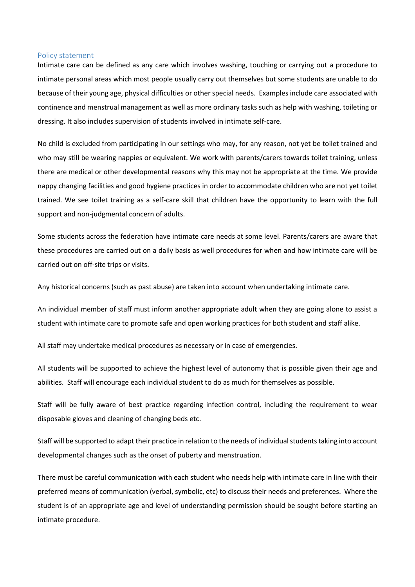## Policy statement

Intimate care can be defined as any care which involves washing, touching or carrying out a procedure to intimate personal areas which most people usually carry out themselves but some students are unable to do because of their young age, physical difficulties or other special needs. Examples include care associated with continence and menstrual management as well as more ordinary tasks such as help with washing, toileting or dressing. It also includes supervision of students involved in intimate self-care.

No child is excluded from participating in our settings who may, for any reason, not yet be toilet trained and who may still be wearing nappies or equivalent. We work with parents/carers towards toilet training, unless there are medical or other developmental reasons why this may not be appropriate at the time. We provide nappy changing facilities and good hygiene practices in order to accommodate children who are not yet toilet trained. We see toilet training as a self-care skill that children have the opportunity to learn with the full support and non-judgmental concern of adults.

Some students across the federation have intimate care needs at some level. Parents/carers are aware that these procedures are carried out on a daily basis as well procedures for when and how intimate care will be carried out on off-site trips or visits.

Any historical concerns (such as past abuse) are taken into account when undertaking intimate care.

An individual member of staff must inform another appropriate adult when they are going alone to assist a student with intimate care to promote safe and open working practices for both student and staff alike.

All staff may undertake medical procedures as necessary or in case of emergencies.

All students will be supported to achieve the highest level of autonomy that is possible given their age and abilities. Staff will encourage each individual student to do as much for themselves as possible.

Staff will be fully aware of best practice regarding infection control, including the requirement to wear disposable gloves and cleaning of changing beds etc.

Staff will be supported to adapt their practice in relation to the needs of individual students taking into account developmental changes such as the onset of puberty and menstruation.

There must be careful communication with each student who needs help with intimate care in line with their preferred means of communication (verbal, symbolic, etc) to discuss their needs and preferences. Where the student is of an appropriate age and level of understanding permission should be sought before starting an intimate procedure.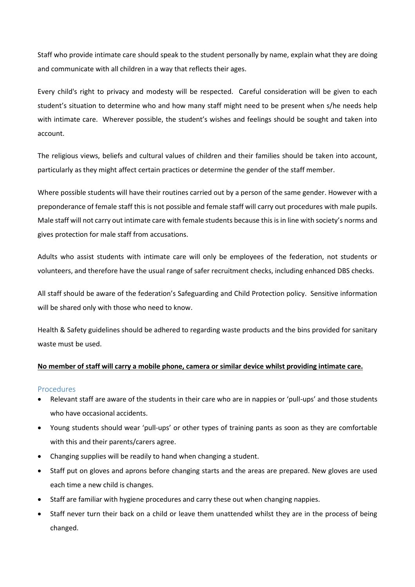Staff who provide intimate care should speak to the student personally by name, explain what they are doing and communicate with all children in a way that reflects their ages.

Every child's right to privacy and modesty will be respected. Careful consideration will be given to each student's situation to determine who and how many staff might need to be present when s/he needs help with intimate care. Wherever possible, the student's wishes and feelings should be sought and taken into account.

The religious views, beliefs and cultural values of children and their families should be taken into account, particularly as they might affect certain practices or determine the gender of the staff member.

Where possible students will have their routines carried out by a person of the same gender. However with a preponderance of female staff this is not possible and female staff will carry out procedures with male pupils. Male staff will not carry out intimate care with female students because this is in line with society's norms and gives protection for male staff from accusations.

Adults who assist students with intimate care will only be employees of the federation, not students or volunteers, and therefore have the usual range of safer recruitment checks, including enhanced DBS checks.

All staff should be aware of the federation's Safeguarding and Child Protection policy. Sensitive information will be shared only with those who need to know.

Health & Safety guidelines should be adhered to regarding waste products and the bins provided for sanitary waste must be used.

## **No member of staff will carry a mobile phone, camera or similar device whilst providing intimate care.**

## **Procedures**

- Relevant staff are aware of the students in their care who are in nappies or 'pull-ups' and those students who have occasional accidents.
- Young students should wear 'pull-ups' or other types of training pants as soon as they are comfortable with this and their parents/carers agree.
- Changing supplies will be readily to hand when changing a student.
- Staff put on gloves and aprons before changing starts and the areas are prepared. New gloves are used each time a new child is changes.
- Staff are familiar with hygiene procedures and carry these out when changing nappies.
- Staff never turn their back on a child or leave them unattended whilst they are in the process of being changed.